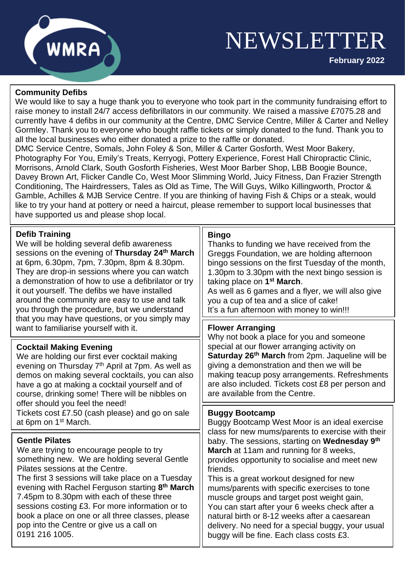

**February 2022**



## **Community Defibs**

We would like to say a huge thank you to everyone who took part in the community fundraising effort to raise money to install 24/7 access defibrillators in our community. We raised a massive £7075.28 and currently have 4 defibs in our community at the Centre, DMC Service Centre, Miller & Carter and Nelley Gormley. Thank you to everyone who bought raffle tickets or simply donated to the fund. Thank you to all the local businesses who either donated a prize to the raffle or donated.

 Photography For You, Emily's Treats, Kerryogi, Pottery Experience, Forest Hall Chiropractic Clinic, DMC Service Centre, Somals, John Foley & Son, Miller & Carter Gosforth, West Moor Bakery, Morrisons, Arnold Clark, South Gosforth Fisheries, West Moor Barber Shop, LBB Boogie Bounce, Davey Brown Art, Flicker Candle Co, West Moor Slimming World, Juicy Fitness, Dan Frazier Strength Conditioning, The Hairdressers, Tales as Old as Time, The Will Guys, Wilko Killingworth, Proctor & Gamble, Achilles & MJB Service Centre. If you are thinking of having Fish & Chips or a steak, would like to try your hand at pottery or need a haircut, please remember to support local businesses that have supported us and please shop local.

| <b>Defib Training</b><br>We will be holding several defib awareness<br>sessions on the evening of Thursday 24 <sup>th</sup> March<br>at 6pm, 6.30pm, 7pm, 7.30pm, 8pm & 8.30pm.<br>They are drop-in sessions where you can watch<br>a demonstration of how to use a defibrilator or try<br>it out yourself. The defibs we have installed<br>around the community are easy to use and talk<br>you through the procedure, but we understand<br>that you may have questions, or you simply may<br>want to familiarise yourself with it. | <b>Bingo</b><br>Thanks to funding we have received from the<br>Greggs Foundation, we are holding afternoon<br>bingo sessions on the first Tuesday of the month,<br>1.30pm to 3.30pm with the next bingo session is<br>taking place on 1 <sup>st</sup> March.<br>As well as 6 games and a flyer, we will also give<br>you a cup of tea and a slice of cake!<br>It's a fun afternoon with money to win!!!                                                                                                                                                              |
|--------------------------------------------------------------------------------------------------------------------------------------------------------------------------------------------------------------------------------------------------------------------------------------------------------------------------------------------------------------------------------------------------------------------------------------------------------------------------------------------------------------------------------------|----------------------------------------------------------------------------------------------------------------------------------------------------------------------------------------------------------------------------------------------------------------------------------------------------------------------------------------------------------------------------------------------------------------------------------------------------------------------------------------------------------------------------------------------------------------------|
|                                                                                                                                                                                                                                                                                                                                                                                                                                                                                                                                      | <b>Flower Arranging</b><br>Why not book a place for you and someone                                                                                                                                                                                                                                                                                                                                                                                                                                                                                                  |
| <b>Cocktail Making Evening</b><br>We are holding our first ever cocktail making<br>evening on Thursday 7 <sup>th</sup> April at 7pm. As well as<br>demos on making several cocktails, you can also<br>have a go at making a cocktail yourself and of<br>course, drinking some! There will be nibbles on<br>offer should you feel the need!<br>Tickets cost £7.50 (cash please) and go on sale<br>at 6pm on 1 <sup>st</sup> March.                                                                                                    | special at our flower arranging activity on<br>Saturday 26 <sup>th</sup> March from 2pm. Jaqueline will be<br>giving a demonstration and then we will be<br>making teacup posy arrangements. Refreshments<br>are also included. Tickets cost £8 per person and<br>are available from the Centre.                                                                                                                                                                                                                                                                     |
|                                                                                                                                                                                                                                                                                                                                                                                                                                                                                                                                      | <b>Buggy Bootcamp</b><br>Buggy Bootcamp West Moor is an ideal exercise                                                                                                                                                                                                                                                                                                                                                                                                                                                                                               |
| <b>Gentle Pilates</b><br>We are trying to encourage people to try<br>something new. We are holding several Gentle<br>Pilates sessions at the Centre.<br>The first 3 sessions will take place on a Tuesday<br>evening with Rachel Ferguson starting 8 <sup>th</sup> March<br>7.45pm to 8.30pm with each of these three<br>sessions costing £3. For more information or to<br>book a place on one or all three classes, please<br>pop into the Centre or give us a call on<br>0191 216 1005.                                           | class for new mums/parents to exercise with their<br>baby. The sessions, starting on Wednesday 9 <sup>th</sup><br>March at 11am and running for 8 weeks,<br>provides opportunity to socialise and meet new<br>friends.<br>This is a great workout designed for new<br>mums/parents with specific exercises to tone<br>muscle groups and target post weight gain,<br>You can start after your 6 weeks check after a<br>natural birth or 8-12 weeks after a caesarean<br>delivery. No need for a special buggy, your usual<br>buggy will be fine. Each class costs £3. |